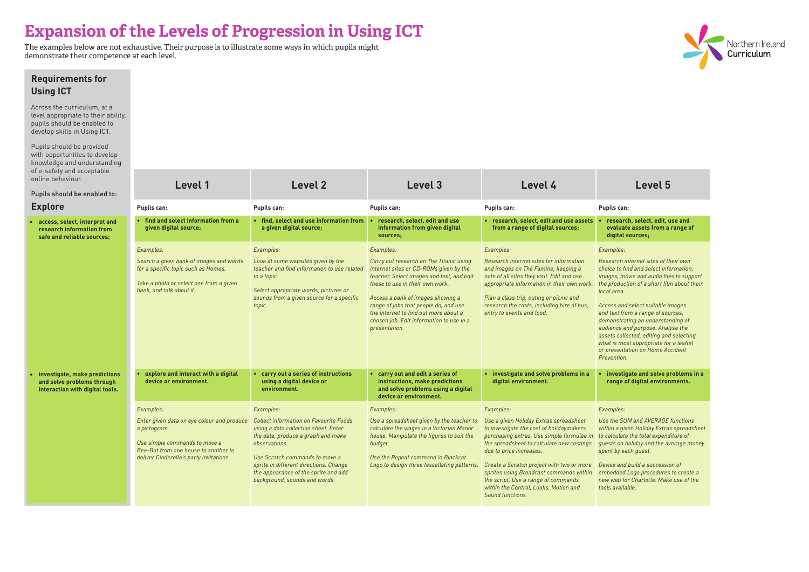**Requirements for** 

**• research, select, edit, use and evaluate assets from a range of digital sources;**

*Access and select suitable images and text from a range of sources, demonstrating an understanding of audience and purpose. Analyse the assets collected, editing and selecting what is most appropriate for a leaflet or presentation on Home Accident <u>Previon</u>* 

*Use the SUM and AVERAGE functions within a given Holiday Extras spreadsheet to calculate the total expenditure of guests on holiday and the average money*  by each guest.

| <b>Using ICT</b>                                                                                                                             |                                                                                                                                                                                             |                                                                                                                                                                                                                                       |                                                                                                                                                                                                                                                                                                                                                                    |                                                                                                                                                                                                                                                                                                               |                                                                                                                                                                                                                                                                                                                                                                                                          |
|----------------------------------------------------------------------------------------------------------------------------------------------|---------------------------------------------------------------------------------------------------------------------------------------------------------------------------------------------|---------------------------------------------------------------------------------------------------------------------------------------------------------------------------------------------------------------------------------------|--------------------------------------------------------------------------------------------------------------------------------------------------------------------------------------------------------------------------------------------------------------------------------------------------------------------------------------------------------------------|---------------------------------------------------------------------------------------------------------------------------------------------------------------------------------------------------------------------------------------------------------------------------------------------------------------|----------------------------------------------------------------------------------------------------------------------------------------------------------------------------------------------------------------------------------------------------------------------------------------------------------------------------------------------------------------------------------------------------------|
| Across the curriculum, at a<br>level appropriate to their ability,<br>pupils should be enabled to<br>develop skills in Using ICT.            |                                                                                                                                                                                             |                                                                                                                                                                                                                                       |                                                                                                                                                                                                                                                                                                                                                                    |                                                                                                                                                                                                                                                                                                               |                                                                                                                                                                                                                                                                                                                                                                                                          |
| Pupils should be provided<br>with opportunities to develop<br>knowledge and understanding<br>of e-safety and acceptable<br>online behaviour. |                                                                                                                                                                                             |                                                                                                                                                                                                                                       |                                                                                                                                                                                                                                                                                                                                                                    |                                                                                                                                                                                                                                                                                                               |                                                                                                                                                                                                                                                                                                                                                                                                          |
| Pupils should be enabled to:                                                                                                                 | Level 1                                                                                                                                                                                     | <b>Level 2</b>                                                                                                                                                                                                                        | Level 3                                                                                                                                                                                                                                                                                                                                                            | Level 4                                                                                                                                                                                                                                                                                                       | <b>Level 5</b>                                                                                                                                                                                                                                                                                                                                                                                           |
| <b>Explore</b>                                                                                                                               | Pupils can:                                                                                                                                                                                 | Pupils can:                                                                                                                                                                                                                           | <b>Pupils can:</b>                                                                                                                                                                                                                                                                                                                                                 | <b>Pupils can:</b>                                                                                                                                                                                                                                                                                            | Pupils can:                                                                                                                                                                                                                                                                                                                                                                                              |
| • access, select, interpret and<br>research information from<br>safe and reliable sources;                                                   | find and select information from a<br>given digital source;                                                                                                                                 | • find, select and use information from<br>a given digital source;                                                                                                                                                                    | research, select, edit and use<br>information from given digital<br>sources;                                                                                                                                                                                                                                                                                       | research, select, edit and use assets<br>from a range of digital sources;                                                                                                                                                                                                                                     | research, select, edit, u<br>evaluate assets from a<br>digital sources;                                                                                                                                                                                                                                                                                                                                  |
|                                                                                                                                              | Examples:<br>Search a given bank of images and words<br>for a specific topic such as Homes.<br>Take a photo or select one from a given<br>bank, and talk about it.                          | Examples:<br>Look at some websites given by the<br>teacher and find information to use related<br>to a topic.<br>Select appropriate words, pictures or<br>sounds from a given source for a specific<br>topic.                         | Examples:<br>Carry out research on The Titanic using<br>internet sites or CD-ROMs given by the<br>teacher. Select images and text, and edit<br>these to use in their own work.<br>Access a bank of images showing a<br>range of jobs that people do, and use<br>the internet to find out more about a<br>chosen job. Edit information to use in a<br>presentation. | Examples:<br>Research internet sites for information<br>and images on The Famine, keeping a<br>note of all sites they visit. Edit and use<br>appropriate information in their own work.<br>Plan a class trip, outing or picnic and<br>research the costs, including hire of bus,<br>entry to events and food. | Examples:<br>Research internet sites of th<br>choice to find and select info<br>images, movie and audio file<br>the production of a short fill<br>local area.<br>Access and select suitable in<br>and text from a range of sou<br>demonstrating an understal<br>audience and purpose. Anal<br>assets collected, editing and<br>what is most appropriate for<br>or presentation on Home Ac<br>Prevention. |
| • investigate, make predictions<br>and solve problems through<br>interaction with digital tools.                                             | explore and interact with a digital<br>device or environment.                                                                                                                               | • carry out a series of instructions<br>using a digital device or<br>environment.                                                                                                                                                     | • carry out and edit a series of<br>instructions, make predictions<br>and solve problems using a digital<br>device or environment.                                                                                                                                                                                                                                 | investigate and solve problems in a<br>digital environment.                                                                                                                                                                                                                                                   | investigate and solve p<br>range of digital enviror                                                                                                                                                                                                                                                                                                                                                      |
|                                                                                                                                              | Examples:<br>Enter given data on eye colour and produce<br>a pictogram.<br>Use simple commands to move a<br>Bee-Bot from one house to another to<br>deliver Cinderella's party invitations. | Examples:<br><b>Collect information on Favourite Foods</b><br>using a data collection sheet. Enter<br>the data, produce a graph and make<br>observations.<br>Use Scratch commands to move a<br>sprite in different directions. Change | Examples:<br>Use a spreadsheet given by the teacher to<br>calculate the wages in a Victorian Manor<br>house. Manipulate the figures to suit the<br>budget.<br>Use the Repeat command in Blackcat<br>Logo to design three tessellating patterns.                                                                                                                    | Examples:<br>Use a given Holiday Extras spreadsheet<br>to investigate the cost of holidaymakers<br>purchasing extras. Use simple formulae in<br>the spreadsheet to calculate new costings<br>due to price increases.<br>Create a Scratch project with two or more                                             | Examples:<br>Use the SUM and AVERAGE<br>within a given Holiday Extra.<br>to calculate the total expend<br>guests on holiday and the av<br>spent by each guest.<br>Devise and build a successio                                                                                                                                                                                                           |
|                                                                                                                                              |                                                                                                                                                                                             | the appearance of the sprite and add<br>background, sounds and words.                                                                                                                                                                 |                                                                                                                                                                                                                                                                                                                                                                    | sprites using Broadcast commands within<br>the script. Use a range of commands<br>within the Control, Looks, Motion and<br>Sound functions.                                                                                                                                                                   | embedded Logo procedures<br>new web for Charlotte. Make<br>tools available.                                                                                                                                                                                                                                                                                                                              |



## *Examples:*

*Research internet sites of their own choice to find and select information, images, movie and audio files to support the production of a short film about their local area.* 

**• investigate and solve problems in a range of digital environments.**

## *Examples:*

*Devise and build a succession of embedded Logo procedures to create a new web for Charlotte. Make use of the tools available.* 

# **Expansion of the Levels of Progression in Using ICT**

The examples below are not exhaustive. Their purpose is to illustrate some ways in which pupils might demonstrate their competence at each level.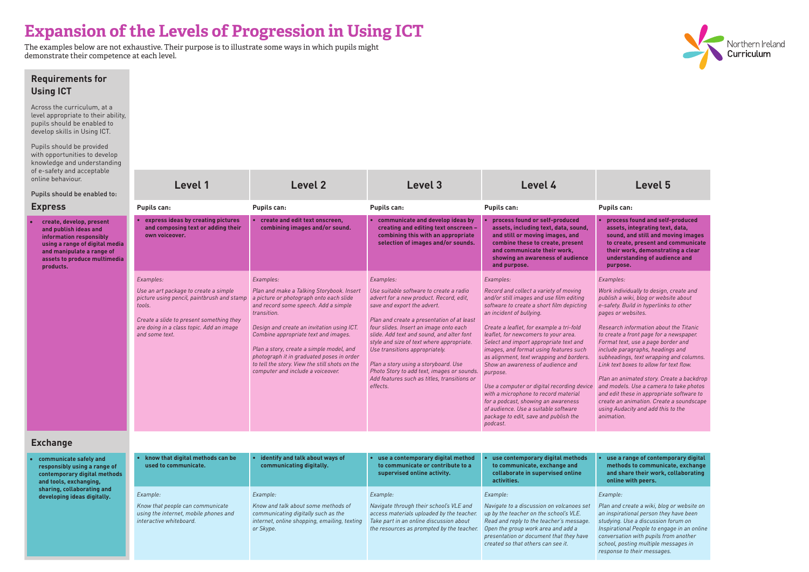**Requirements for** 

**• process found and self-produced assets, integrating text, data, sound, and still and moving images to create, present and communicate their work, demonstrating a clear <u>lerstanding of audience and</u>** pose.

*Work individually to design, create and publish a wiki, blog or website about e-safety. Build in hyperlinks to other .*<br>pr websites.

**a range of contemporary digital methods to communicate, exchange share their work, collaborating online with peers.**

| Across the curriculum, at a                                                                                                                                                                                                                                                                                                                                                                                                                                                                                                                                                                                                                                                                                                                                                                                                                                                                                                                                                                                                                                                                                                                                                                                                                                                                                                                                                                                                                                                                                                                                                                                                                                                                                                                                                          |                                                                                                                                                                                                                                                                                                                                                                                                                                                                                              |
|--------------------------------------------------------------------------------------------------------------------------------------------------------------------------------------------------------------------------------------------------------------------------------------------------------------------------------------------------------------------------------------------------------------------------------------------------------------------------------------------------------------------------------------------------------------------------------------------------------------------------------------------------------------------------------------------------------------------------------------------------------------------------------------------------------------------------------------------------------------------------------------------------------------------------------------------------------------------------------------------------------------------------------------------------------------------------------------------------------------------------------------------------------------------------------------------------------------------------------------------------------------------------------------------------------------------------------------------------------------------------------------------------------------------------------------------------------------------------------------------------------------------------------------------------------------------------------------------------------------------------------------------------------------------------------------------------------------------------------------------------------------------------------------|----------------------------------------------------------------------------------------------------------------------------------------------------------------------------------------------------------------------------------------------------------------------------------------------------------------------------------------------------------------------------------------------------------------------------------------------------------------------------------------------|
| level appropriate to their ability,<br>pupils should be enabled to<br>develop skills in Using ICT.                                                                                                                                                                                                                                                                                                                                                                                                                                                                                                                                                                                                                                                                                                                                                                                                                                                                                                                                                                                                                                                                                                                                                                                                                                                                                                                                                                                                                                                                                                                                                                                                                                                                                   |                                                                                                                                                                                                                                                                                                                                                                                                                                                                                              |
| Pupils should be provided<br>with opportunities to develop<br>knowledge and understanding<br>of e-safety and acceptable                                                                                                                                                                                                                                                                                                                                                                                                                                                                                                                                                                                                                                                                                                                                                                                                                                                                                                                                                                                                                                                                                                                                                                                                                                                                                                                                                                                                                                                                                                                                                                                                                                                              |                                                                                                                                                                                                                                                                                                                                                                                                                                                                                              |
| online behaviour.<br>Level 2<br>Level 3<br>Level 4<br>Level 1                                                                                                                                                                                                                                                                                                                                                                                                                                                                                                                                                                                                                                                                                                                                                                                                                                                                                                                                                                                                                                                                                                                                                                                                                                                                                                                                                                                                                                                                                                                                                                                                                                                                                                                        | Level 5                                                                                                                                                                                                                                                                                                                                                                                                                                                                                      |
| Pupils should be enabled to:<br><b>Express</b><br><b>Pupils can:</b><br><b>Pupils can:</b><br><b>Pupils can:</b><br><b>Pupils can:</b>                                                                                                                                                                                                                                                                                                                                                                                                                                                                                                                                                                                                                                                                                                                                                                                                                                                                                                                                                                                                                                                                                                                                                                                                                                                                                                                                                                                                                                                                                                                                                                                                                                               | <b>Pupils can:</b>                                                                                                                                                                                                                                                                                                                                                                                                                                                                           |
| create and edit text onscreen,<br>express ideas by creating pictures<br>communicate and develop ideas by<br>process found or self-produced<br>create, develop, present<br>and composing text or adding their<br>combining images and/or sound.<br>creating and editing text onscreen -<br>assets, including text, data, sound,<br>and publish ideas and<br>combining this with an appropriate<br>and still or moving images, and<br>own voiceover.<br>information responsibly<br>selection of images and/or sounds.<br>combine these to create, present<br>using a range of digital media<br>and communicate their work,<br>and manipulate a range of<br>showing an awareness of audience<br>assets to produce multimedia<br>and purpose.<br>products.                                                                                                                                                                                                                                                                                                                                                                                                                                                                                                                                                                                                                                                                                                                                                                                                                                                                                                                                                                                                                               | process found and self<br>assets, integrating text<br>sound, and still and mo<br>to create, present and<br>their work, demonstrat<br>understanding of audie<br>purpose.                                                                                                                                                                                                                                                                                                                      |
| Examples:<br>Examples:<br>Examples:<br>Examples:                                                                                                                                                                                                                                                                                                                                                                                                                                                                                                                                                                                                                                                                                                                                                                                                                                                                                                                                                                                                                                                                                                                                                                                                                                                                                                                                                                                                                                                                                                                                                                                                                                                                                                                                     | Examples:                                                                                                                                                                                                                                                                                                                                                                                                                                                                                    |
| Use an art package to create a simple<br>Plan and make a Talking Storybook. Insert<br>Use suitable software to create a radio<br>Record and collect a variety of moving<br>picture using pencil, paintbrush and stamp<br>a picture or photograph onto each slide<br>and/or still images and use film editing<br>advert for a new product. Record, edit,<br>and record some speech. Add a simple<br>software to create a short film depicting<br>tools.<br>save and export the advert.<br>an incident of bullying.<br>transition.<br>Create a slide to present something they<br>Plan and create a presentation of at least<br>are doing in a class topic. Add an image<br>Design and create an invitation using ICT.<br>four slides. Insert an image onto each<br>Create a leaflet, for example a tri-fold<br>and some text.<br>leaflet, for newcomers to your area.<br>Combine appropriate text and images.<br>slide. Add text and sound, and alter font<br>style and size of text where appropriate.<br>Select and import appropriate text and<br>Plan a story, create a simple model, and<br>Use transitions appropriately.<br>images, and format using features such<br>photograph it in graduated poses in order<br>as alignment, text wrapping and borders.<br>to tell the story. View the still shots on the<br>Plan a story using a storyboard. Use<br>Show an awareness of audience and<br>Photo Story to add text, images or sounds.<br>computer and include a voiceover.<br>purpose.<br>Add features such as titles, transitions or<br>Use a computer or digital recording device<br>effects.<br>with a microphone to record material<br>for a podcast, showing an awareness<br>of audience. Use a suitable software<br>package to edit, save and publish the<br>podcast. | Work individually to design,<br>publish a wiki, blog or webs.<br>e-safety. Build in hyperlinks<br>pages or websites.<br>Research information about<br>to create a front page for a r<br>Format text, use a page bore<br>include paragraphs, heading<br>subheadings, text wrapping<br>Link text boxes to allow for t<br>Plan an animated story. Cre<br>and models. Use a camera t<br>and edit these in appropriat<br>create an animation. Create<br>using Audacity and add this<br>animation. |
| <b>Exchange</b>                                                                                                                                                                                                                                                                                                                                                                                                                                                                                                                                                                                                                                                                                                                                                                                                                                                                                                                                                                                                                                                                                                                                                                                                                                                                                                                                                                                                                                                                                                                                                                                                                                                                                                                                                                      |                                                                                                                                                                                                                                                                                                                                                                                                                                                                                              |
| know that digital methods can be<br>identify and talk about ways of<br>use a contemporary digital method<br>use contemporary digital methods<br>communicate safely and<br>to communicate or contribute to a<br>used to communicate.<br>communicating digitally.<br>to communicate, exchange and<br>responsibly using a range of<br>collaborate in supervised online<br>supervised online activity.<br>contemporary digital methods<br>activities.<br>and tools, exchanging,                                                                                                                                                                                                                                                                                                                                                                                                                                                                                                                                                                                                                                                                                                                                                                                                                                                                                                                                                                                                                                                                                                                                                                                                                                                                                                          | use a range of contemp<br>methods to communica<br>and share their work, o<br>online with peers.                                                                                                                                                                                                                                                                                                                                                                                              |
| sharing, collaborating and<br>Example:<br>Example:<br>Example:<br>Example:<br>developing ideas digitally.                                                                                                                                                                                                                                                                                                                                                                                                                                                                                                                                                                                                                                                                                                                                                                                                                                                                                                                                                                                                                                                                                                                                                                                                                                                                                                                                                                                                                                                                                                                                                                                                                                                                            | Example:                                                                                                                                                                                                                                                                                                                                                                                                                                                                                     |
| Know and talk about some methods of<br>Navigate through their school's VLE and<br>Know that people can communicate<br>Navigate to a discussion on volcanoes set<br>using the internet, mobile phones and<br>access materials uploaded by the teacher.<br>up by the teacher on the school's VLE.<br>communicating digitally such as the<br>interactive whiteboard.<br>internet, online shopping, emailing, texting<br>Take part in an online discussion about<br>Read and reply to the teacher's message.<br>Open the group work area and add a<br>the resources as prompted by the teacher.<br>or Skype.<br>presentation or document that they have<br>created so that others can see it.                                                                                                                                                                                                                                                                                                                                                                                                                                                                                                                                                                                                                                                                                                                                                                                                                                                                                                                                                                                                                                                                                            | Plan and create a wiki, blog<br>an inspirational person they<br>studying. Use a discussion f<br>Inspirational People to enga<br>conversation with pupils fro<br>school, posting multiple me.<br>response to their messages                                                                                                                                                                                                                                                                   |



## *Examples:*

*Research information about the Titanic to create a front page for a newspaper. Format text, use a page border and include paragraphs, headings and subheadings, text wrapping and columns. Link text boxes to allow for text flow.*

*Plan an animated story. Create a backdrop and models. Use a camera to take photos and edit these in appropriate software to create an animation. Create a soundscape using Audacity and add this to the animation.*

*Plan and create a wiki, blog or website on an inspirational person they have been studying. Use a discussion forum on Inspirational People to engage in an online conversation with pupils from another school, posting multiple messages in response to their messages.*

# **Expansion of the Levels of Progression in Using ICT**

The examples below are not exhaustive. Their purpose is to illustrate some ways in which pupils might demonstrate their competence at each level.